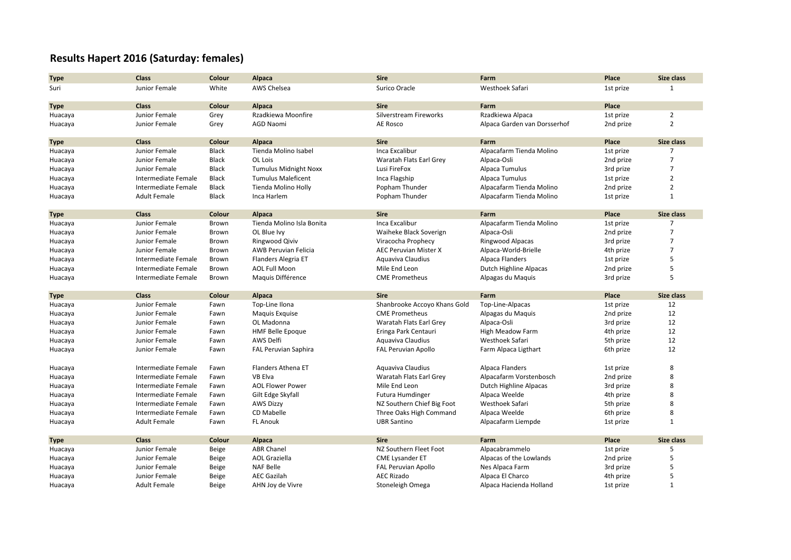## **Results Hapert 2016 (Saturday: females)**

| <b>Type</b> | <b>Class</b>        | Colour       | Alpaca                       | <b>Sire</b>                  | Farm                         | Place     | Size class        |
|-------------|---------------------|--------------|------------------------------|------------------------------|------------------------------|-----------|-------------------|
| Suri        | Junior Female       | White        | AWS Chelsea                  | Surico Oracle                | Westhoek Safari              | 1st prize | $\mathbf{1}$      |
|             |                     |              |                              |                              |                              |           |                   |
| <b>Type</b> | <b>Class</b>        | Colour       | Alpaca                       | <b>Sire</b>                  | Farm                         | Place     |                   |
| Huacaya     | Junior Female       | Grey         | Rzadkiewa Moonfire           | Silverstream Fireworks       | Rzadkiewa Alpaca             | 1st prize | $\overline{2}$    |
| Huacaya     | Junior Female       | Grey         | <b>AGD Naomi</b>             | AE Rosco                     | Alpaca Garden van Dorsserhof | 2nd prize | $\overline{2}$    |
|             |                     |              |                              |                              |                              |           |                   |
| <b>Type</b> | <b>Class</b>        | Colour       | Alpaca                       | <b>Sire</b>                  | Farm                         | Place     | Size class        |
| Huacaya     | Junior Female       | <b>Black</b> | Tienda Molino Isabel         | Inca Excalibur               | Alpacafarm Tienda Molino     | 1st prize | $\overline{7}$    |
| Huacaya     | Junior Female       | <b>Black</b> | OL Lois                      | Waratah Flats Earl Grey      | Alpaca-Osli                  | 2nd prize | $\overline{7}$    |
| Huacaya     | Junior Female       | <b>Black</b> | <b>Tumulus Midnight Noxx</b> | Lusi FireFox                 | Alpaca Tumulus               | 3rd prize | 7                 |
| Huacaya     | Intermediate Female | <b>Black</b> | <b>Tumulus Maleficent</b>    | Inca Flagship                | Alpaca Tumulus               | 1st prize | $\overline{2}$    |
| Huacaya     | Intermediate Female | <b>Black</b> | Tienda Molino Holly          | Popham Thunder               | Alpacafarm Tienda Molino     | 2nd prize | $\overline{2}$    |
| Huacaya     | <b>Adult Female</b> | <b>Black</b> | Inca Harlem                  | Popham Thunder               | Alpacafarm Tienda Molino     | 1st prize | $\mathbf{1}$      |
|             |                     |              |                              |                              |                              |           |                   |
| <b>Type</b> | <b>Class</b>        | Colour       | Alpaca                       | <b>Sire</b>                  | Farm                         | Place     | Size class        |
| Huacaya     | Junior Female       | Brown        | Tienda Molino Isla Bonita    | Inca Excalibur               | Alpacafarm Tienda Molino     | 1st prize | 7                 |
| Huacaya     | Junior Female       | Brown        | OL Blue Ivy                  | Waiheke Black Soverign       | Alpaca-Osli                  | 2nd prize | $\overline{7}$    |
| Huacaya     | Junior Female       | Brown        | Ringwood Qiviv               | Viracocha Prophecy           | <b>Ringwood Alpacas</b>      | 3rd prize | 7                 |
| Huacaya     | Junior Female       | Brown        | <b>AWB Peruvian Felicia</b>  | <b>AEC Peruvian Mister X</b> | Alpaca-World-Brielle         | 4th prize | 7                 |
| Huacaya     | Intermediate Female | Brown        | Flanders Alegria ET          | Aquaviva Claudius            | Alpaca Flanders              | 1st prize | 5                 |
| Huacaya     | Intermediate Female | Brown        | <b>AOL Full Moon</b>         | Mile End Leon                | Dutch Highline Alpacas       | 2nd prize | 5                 |
| Huacaya     | Intermediate Female | Brown        | Maguis Différence            | <b>CME Prometheus</b>        | Alpagas du Maquis            | 3rd prize | 5                 |
| <b>Type</b> | <b>Class</b>        | Colour       | Alpaca                       | <b>Sire</b>                  | Farm                         | Place     | Size class        |
| Huacaya     | Junior Female       | Fawn         | Top-Line Ilona               | Shanbrooke Accoyo Khans Gold | Top-Line-Alpacas             | 1st prize | 12                |
| Huacaya     | Junior Female       | Fawn         | Maguis Exquise               | <b>CME Prometheus</b>        | Alpagas du Maquis            | 2nd prize | 12                |
| Huacaya     | Junior Female       | Fawn         | OL Madonna                   | Waratah Flats Earl Grey      | Alpaca-Osli                  | 3rd prize | 12                |
| Huacaya     | Junior Female       | Fawn         | <b>HMF Belle Epoque</b>      | Eringa Park Centauri         | <b>High Meadow Farm</b>      | 4th prize | 12                |
| Huacaya     | Junior Female       | Fawn         | AWS Delfi                    | Aquaviva Claudius            | Westhoek Safari              | 5th prize | 12                |
|             | Junior Female       | Fawn         | <b>FAL Peruvian Saphira</b>  | <b>FAL Peruvian Apollo</b>   | Farm Alpaca Ligthart         | 6th prize | 12                |
| Huacaya     |                     |              |                              |                              |                              |           |                   |
| Huacaya     | Intermediate Female | Fawn         | Flanders Athena ET           | Aquaviva Claudius            | Alpaca Flanders              | 1st prize | 8                 |
| Huacaya     | Intermediate Female | Fawn         | VB Elva                      | Waratah Flats Earl Grey      | Alpacafarm Vorstenbosch      | 2nd prize | 8                 |
| Huacaya     | Intermediate Female | Fawn         | <b>AOL Flower Power</b>      | Mile End Leon                | Dutch Highline Alpacas       | 3rd prize | 8                 |
| Huacaya     | Intermediate Female | Fawn         | Gilt Edge Skyfall            | <b>Futura Humdinger</b>      | Alpaca Weelde                | 4th prize | 8                 |
| Huacaya     | Intermediate Female | Fawn         | <b>AWS Dizzy</b>             | NZ Southern Chief Big Foot   | Westhoek Safari              | 5th prize | 8                 |
| Huacaya     | Intermediate Female | Fawn         | <b>CD Mabelle</b>            | Three Oaks High Command      | Alpaca Weelde                | 6th prize | 8                 |
| Huacaya     | <b>Adult Female</b> | Fawn         | <b>FL Anouk</b>              | <b>UBR Santino</b>           | Alpacafarm Liempde           | 1st prize | $\overline{1}$    |
|             |                     |              |                              |                              |                              |           |                   |
| <b>Type</b> | <b>Class</b>        | Colour       | Alpaca                       | <b>Sire</b>                  | Farm                         | Place     | <b>Size class</b> |
| Huacaya     | Junior Female       | Beige        | <b>ABR Chanel</b>            | NZ Southern Fleet Foot       | Alpacabrammelo               | 1st prize | 5                 |
| Huacaya     | Junior Female       | Beige        | <b>AOL Graziella</b>         | <b>CME Lysander ET</b>       | Alpacas of the Lowlands      | 2nd prize | 5                 |
| Huacaya     | Junior Female       | Beige        | <b>NAF Belle</b>             | <b>FAL Peruvian Apollo</b>   | Nes Alpaca Farm              | 3rd prize | 5                 |
| Huacaya     | Junior Female       | Beige        | <b>AEC Gazilah</b>           | <b>AEC Rizado</b>            | Alpaca El Charco             | 4th prize | 5                 |
| Huacaya     | <b>Adult Female</b> | Beige        | AHN Joy de Vivre             | Stoneleigh Omega             | Alpaca Hacienda Holland      | 1st prize | $\mathbf{1}$      |